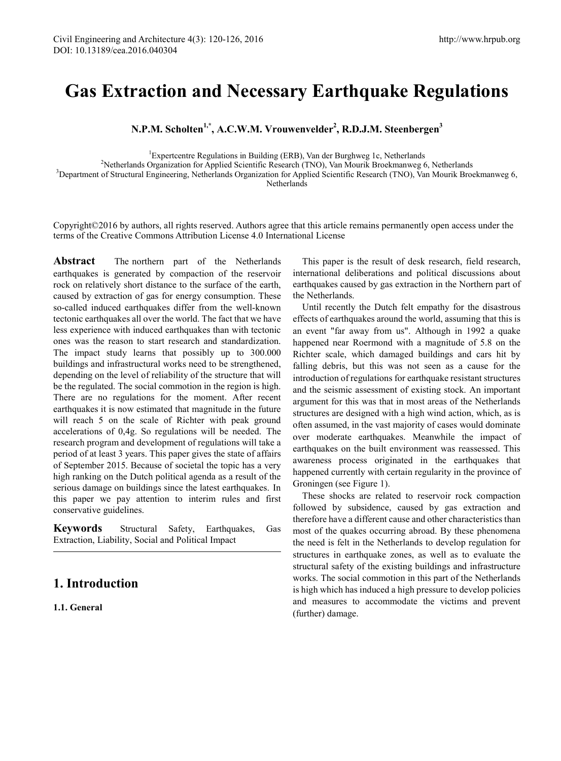# **Gas Extraction and Necessary Earthquake Regulations**

**N.P.M. Scholten1,\*, A.C.W.M. Vrouwenvelder2 , R.D.J.M. Steenbergen3**

<sup>1</sup>Expertcentre Regulations in Building (ERB), Van der Burghweg 1c, Netherlands<br><sup>2</sup>Netherlands Organization for Applied Scientific Research (TNO), Van Mourik Broekmanweg <sup>2</sup>Netherlands Organization for Applied Scientific Research (TNO), Van Mourik Broekmanweg 6, Netherlands <sup>3</sup>Department of Structural Engineering, Netherlands Organization for Applied Scientific Research (TNO), Van Mourik Broekmanweg 6, Netherlands

Copyright©2016 by authors, all rights reserved. Authors agree that this article remains permanently open access under the terms of the Creative Commons Attribution License 4.0 International License

**Abstract** The northern part of the Netherlands earthquakes is generated by compaction of the reservoir rock on relatively short distance to the surface of the earth, caused by extraction of gas for energy consumption. These so-called induced earthquakes differ from the well-known tectonic earthquakes all over the world. The fact that we have less experience with induced earthquakes than with tectonic ones was the reason to start research and standardization. The impact study learns that possibly up to 300.000 buildings and infrastructural works need to be strengthened, depending on the level of reliability of the structure that will be the regulated. The social commotion in the region is high. There are no regulations for the moment. After recent earthquakes it is now estimated that magnitude in the future will reach 5 on the scale of Richter with peak ground accelerations of 0,4g. So regulations will be needed. The research program and development of regulations will take a period of at least 3 years. This paper gives the state of affairs of September 2015. Because of societal the topic has a very high ranking on the Dutch political agenda as a result of the serious damage on buildings since the latest earthquakes. In this paper we pay attention to interim rules and first conservative guidelines.

**Keywords** Structural Safety, Earthquakes, Gas Extraction, Liability, Social and Political Impact

# **1. Introduction**

**1.1. General**

This paper is the result of desk research, field research, international deliberations and political discussions about earthquakes caused by gas extraction in the Northern part of the Netherlands.

Until recently the Dutch felt empathy for the disastrous effects of earthquakes around the world, assuming that this is an event "far away from us". Although in 1992 a quake happened near Roermond with a magnitude of 5.8 on the Richter scale, which damaged buildings and cars hit by falling debris, but this was not seen as a cause for the introduction of regulations for earthquake resistant structures and the seismic assessment of existing stock. An important argument for this was that in most areas of the Netherlands structures are designed with a high wind action, which, as is often assumed, in the vast majority of cases would dominate over moderate earthquakes. Meanwhile the impact of earthquakes on the built environment was reassessed. This awareness process originated in the earthquakes that happened currently with certain regularity in the province of Groningen (see Figure 1).

These shocks are related to reservoir rock compaction followed by subsidence, caused by gas extraction and therefore have a different cause and other characteristics than most of the quakes occurring abroad. By these phenomena the need is felt in the Netherlands to develop regulation for structures in earthquake zones, as well as to evaluate the structural safety of the existing buildings and infrastructure works. The social commotion in this part of the Netherlands is high which has induced a high pressure to develop policies and measures to accommodate the victims and prevent (further) damage.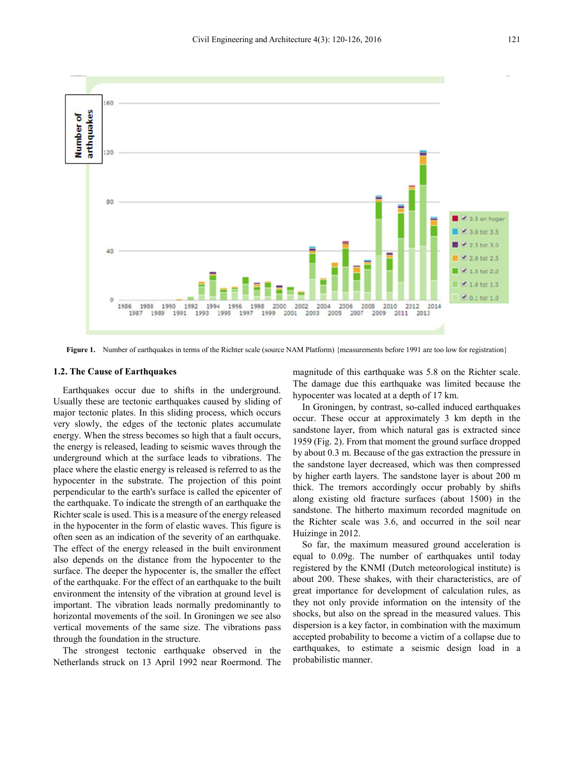

**Figure 1.** Number of earthquakes in terms of the Richter scale (source NAM Platform) {measurements before 1991 are too low for registration}

#### **1.2. The Cause of Earthquakes**

Earthquakes occur due to shifts in the underground. Usually these are tectonic earthquakes caused by sliding of major tectonic plates. In this sliding process, which occurs very slowly, the edges of the tectonic plates accumulate energy. When the stress becomes so high that a fault occurs, the energy is released, leading to seismic waves through the underground which at the surface leads to vibrations. The place where the elastic energy is released is referred to as the hypocenter in the substrate. The projection of this point perpendicular to the earth's surface is called the epicenter of the earthquake. To indicate the strength of an earthquake the Richter scale is used. This is a measure of the energy released in the hypocenter in the form of elastic waves. This figure is often seen as an indication of the severity of an earthquake. The effect of the energy released in the built environment also depends on the distance from the hypocenter to the surface. The deeper the hypocenter is, the smaller the effect of the earthquake. For the effect of an earthquake to the built environment the intensity of the vibration at ground level is important. The vibration leads normally predominantly to horizontal movements of the soil. In Groningen we see also vertical movements of the same size. The vibrations pass through the foundation in the structure.

The strongest tectonic earthquake observed in the Netherlands struck on 13 April 1992 near Roermond. The

magnitude of this earthquake was 5.8 on the Richter scale. The damage due this earthquake was limited because the hypocenter was located at a depth of 17 km.

In Groningen, by contrast, so-called induced earthquakes occur. These occur at approximately 3 km depth in the sandstone layer, from which natural gas is extracted since 1959 (Fig. 2). From that moment the ground surface dropped by about 0.3 m. Because of the gas extraction the pressure in the sandstone layer decreased, which was then compressed by higher earth layers. The sandstone layer is about 200 m thick. The tremors accordingly occur probably by shifts along existing old fracture surfaces (about 1500) in the sandstone. The hitherto maximum recorded magnitude on the Richter scale was 3.6, and occurred in the soil near Huizinge in 2012.

So far, the maximum measured ground acceleration is equal to 0.09g. The number of earthquakes until today registered by the KNMI (Dutch meteorological institute) is about 200. These shakes, with their characteristics, are of great importance for development of calculation rules, as they not only provide information on the intensity of the shocks, but also on the spread in the measured values. This dispersion is a key factor, in combination with the maximum accepted probability to become a victim of a collapse due to earthquakes, to estimate a seismic design load in a probabilistic manner.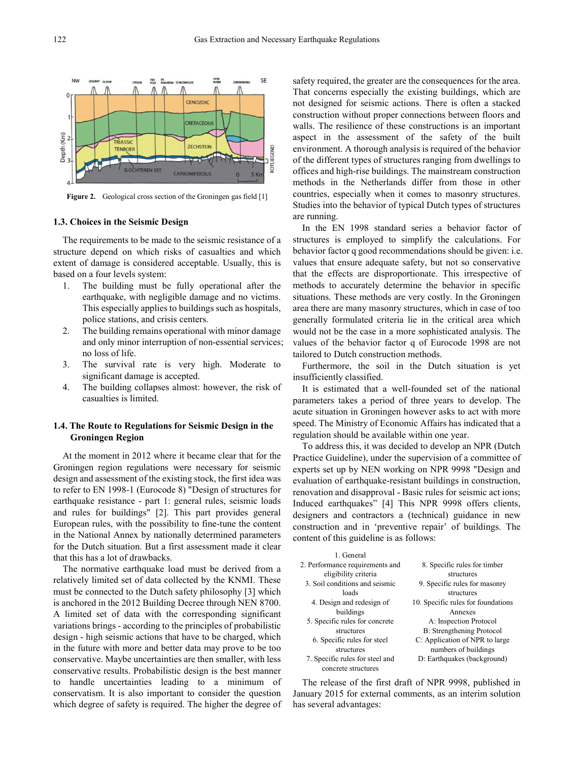

**Figure 2.** Geological cross section of the Groningen gas field [1]

#### **1.3. Choices in the Seismic Design**

The requirements to be made to the seismic resistance of a structure depend on which risks of casualties and which extent of damage is considered acceptable. Usually, this is based on a four levels system:

- 1. The building must be fully operational after the earthquake, with negligible damage and no victims. This especially applies to buildings such as hospitals, police stations, and crisis centers.
- 2. The building remains operational with minor damage and only minor interruption of non-essential services; no loss of life.
- 3. The survival rate is very high. Moderate to significant damage is accepted.
- 4. The building collapses almost: however, the risk of casualties is limited.

## **1.4. The Route to Regulations for Seismic Design in the Groningen Region**

At the moment in 2012 where it became clear that for the Groningen region regulations were necessary for seismic design and assessment of the existing stock, the first idea was to refer to EN 1998-1 (Eurocode 8) "Design of structures for earthquake resistance - part 1: general rules, seismic loads and rules for buildings" [2]. This part provides general European rules, with the possibility to fine-tune the content in the National Annex by nationally determined parameters for the Dutch situation. But a first assessment made it clear that this has a lot of drawbacks.

The normative earthquake load must be derived from a relatively limited set of data collected by the KNMI. These must be connected to the Dutch safety philosophy [3] which is anchored in the 2012 Building Decree through NEN 8700. A limited set of data with the corresponding significant variations brings - according to the principles of probabilistic design - high seismic actions that have to be charged, which in the future with more and better data may prove to be too conservative. Maybe uncertainties are then smaller, with less conservative results. Probabilistic design is the best manner to handle uncertainties leading to a minimum of conservatism. It is also important to consider the question which degree of safety is required. The higher the degree of

safety required, the greater are the consequences for the area. That concerns especially the existing buildings, which are not designed for seismic actions. There is often a stacked construction without proper connections between floors and walls. The resilience of these constructions is an important aspect in the assessment of the safety of the built environment. A thorough analysis is required of the behavior of the different types of structures ranging from dwellings to offices and high-rise buildings. The mainstream construction methods in the Netherlands differ from those in other countries, especially when it comes to masonry structures. Studies into the behavior of typical Dutch types of structures are running.

In the EN 1998 standard series a behavior factor of structures is employed to simplify the calculations. For behavior factor q good recommendations should be given: i.e. values that ensure adequate safety, but not so conservative that the effects are disproportionate. This irrespective of methods to accurately determine the behavior in specific situations. These methods are very costly. In the Groningen area there are many masonry structures, which in case of too generally formulated criteria lie in the critical area which would not be the case in a more sophisticated analysis. The values of the behavior factor q of Eurocode 1998 are not tailored to Dutch construction methods.

Furthermore, the soil in the Dutch situation is yet insufficiently classified.

It is estimated that a well-founded set of the national parameters takes a period of three years to develop. The acute situation in Groningen however asks to act with more speed. The Ministry of Economic Affairs has indicated that a regulation should be available within one year.

To address this, it was decided to develop an NPR (Dutch Practice Guideline), under the supervision of a committee of experts set up by NEN working on NPR 9998 "Design and evaluation of earthquake-resistant buildings in construction, renovation and disapproval - Basic rules for seismic act ions; Induced earthquakes" [4] This NPR 9998 offers clients, designers and contractors a (technical) guidance in new construction and in 'preventive repair' of buildings. The content of this guideline is as follows:

| 1 General                       |                                    |
|---------------------------------|------------------------------------|
| 2. Performance requirements and | 8. Specific rules for timber       |
| eligibility criteria            | structures                         |
| 3. Soil conditions and seismic  | 9. Specific rules for masonry      |
| loads                           | structures                         |
| 4. Design and redesign of       | 10. Specific rules for foundations |
| buildings                       | Annexes                            |
| 5. Specific rules for concrete  | A: Inspection Protocol             |
| structures                      | B: Strengthening Protocol          |
| 6. Specific rules for steel     | C: Application of NPR to large     |
| structures                      | numbers of buildings               |
| 7. Specific rules for steel and | D: Earthquakes (background)        |
| concrete structures             |                                    |

The release of the first draft of NPR 9998, published in January 2015 for external comments, as an interim solution has several advantages: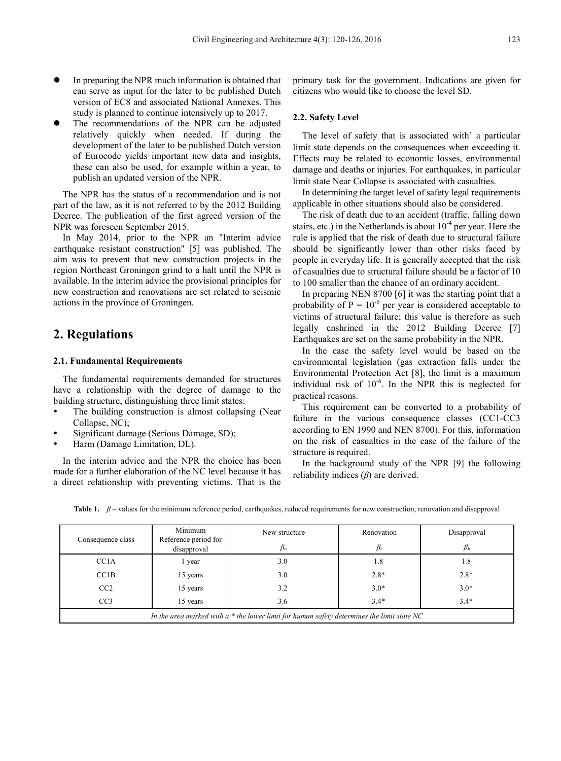- In preparing the NPR much information is obtained that can serve as input for the later to be published Dutch version of EC8 and associated National Annexes. This study is planned to continue intensively up to 2017.
- The recommendations of the NPR can be adjusted relatively quickly when needed. If during the development of the later to be published Dutch version of Eurocode yields important new data and insights, these can also be used, for example within a year, to publish an updated version of the NPR.

The NPR has the status of a recommendation and is not part of the law, as it is not referred to by the 2012 Building Decree. The publication of the first agreed version of the NPR was foreseen September 2015.

In May 2014, prior to the NPR an "Interim advice earthquake resistant construction" [5] was published. The aim was to prevent that new construction projects in the region Northeast Groningen grind to a halt until the NPR is available. In the interim advice the provisional principles for new construction and renovations are set related to seismic actions in the province of Groningen.

# **2. Regulations**

### **2.1. Fundamental Requirements**

The fundamental requirements demanded for structures have a relationship with the degree of damage to the building structure, distinguishing three limit states:

- The building construction is almost collapsing (Near Collapse, NC);
- Significant damage (Serious Damage, SD);
- Harm (Damage Limitation, DL).

In the interim advice and the NPR the choice has been made for a further elaboration of the NC level because it has a direct relationship with preventing victims. That is the

primary task for the government. Indications are given for citizens who would like to choose the level SD.

## **2.2. Safety Level**

The level of safety that is associated with' a particular limit state depends on the consequences when exceeding it. Effects may be related to economic losses, environmental damage and deaths or injuries. For earthquakes, in particular limit state Near Collapse is associated with casualties.

In determining the target level of safety legal requirements applicable in other situations should also be considered.

The risk of death due to an accident (traffic, falling down stairs, etc.) in the Netherlands is about  $10^{-4}$  per year. Here the rule is applied that the risk of death due to structural failure should be significantly lower than other risks faced by people in everyday life. It is generally accepted that the risk of casualties due to structural failure should be a factor of 10 to 100 smaller than the chance of an ordinary accident.

In preparing NEN 8700 [6] it was the starting point that a probability of  $P = 10^{-5}$  per year is considered acceptable to victims of structural failure; this value is therefore as such legally enshrined in the 2012 Building Decree [7] Earthquakes are set on the same probability in the NPR.

In the case the safety level would be based on the environmental legislation (gas extraction falls under the Environmental Protection Act [8], the limit is a maximum individual risk of  $10^{-6}$ . In the NPR this is neglected for practical reasons.

This requirement can be converted to a probability of failure in the various consequence classes (CC1-CC3) according to EN 1990 and NEN 8700). For this, information on the risk of casualties in the case of the failure of the structure is required.

In the background study of the NPR [9] the following reliability indices (*β*) are derived.

| Consequence class                                                                            | Minimum<br>Reference period for | New structure   | Renovation | Disapproval |  |
|----------------------------------------------------------------------------------------------|---------------------------------|-----------------|------------|-------------|--|
|                                                                                              | disapproval                     | $\beta_{\rm n}$ |            | $p_{\rm b}$ |  |
| CC <sub>1</sub> A                                                                            | 1 year                          | 3.0             | 1.8        | 1.8         |  |
| CC <sub>1</sub> B                                                                            | 15 years                        | 3.0             | $2.8*$     | $2.8*$      |  |
| CC2                                                                                          | 15 years                        | 3.2             | $3.0*$     | $3.0*$      |  |
| CC <sub>3</sub>                                                                              | 15 years                        | 3.6             | $3.4*$     | $3.4*$      |  |
| In the area marked with $a *$ the lower limit for human safety determines the limit state NC |                                 |                 |            |             |  |

**Table 1.** *β* – values for the minimum reference period, earthquakes, reduced requirements for new construction, renovation and disapproval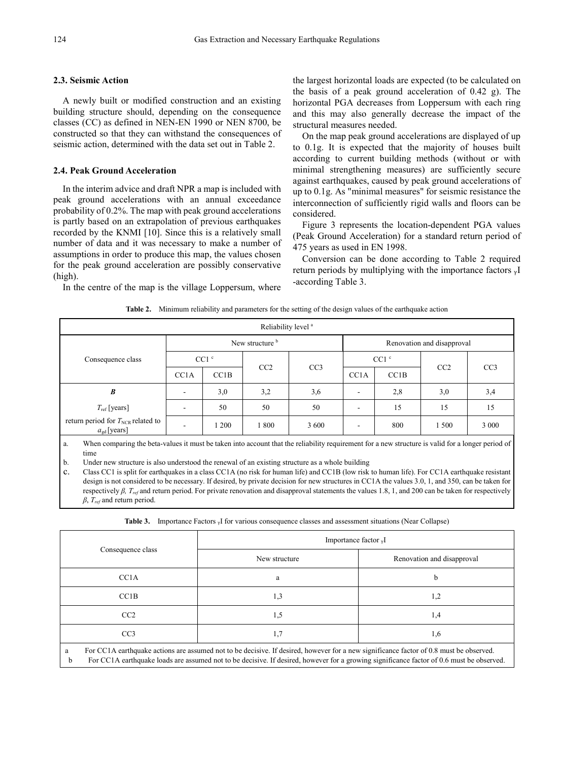## **2.3. Seismic Action**

A newly built or modified construction and an existing building structure should, depending on the consequence classes (CC) as defined in NEN-EN 1990 or NEN 8700, be constructed so that they can withstand the consequences of seismic action, determined with the data set out in Table 2.

#### **2.4. Peak Ground Acceleration**

In the interim advice and draft NPR a map is included with peak ground accelerations with an annual exceedance probability of 0.2%. The map with peak ground accelerations is partly based on an extrapolation of previous earthquakes recorded by the KNMI [10]. Since this is a relatively small number of data and it was necessary to make a number of assumptions in order to produce this map, the values chosen for the peak ground acceleration are possibly conservative (high).

In the centre of the map is the village Loppersum, where

the largest horizontal loads are expected (to be calculated on the basis of a peak ground acceleration of 0.42 g). The horizontal PGA decreases from Loppersum with each ring and this may also generally decrease the impact of the structural measures needed.

On the map peak ground accelerations are displayed of up to 0.1g. It is expected that the majority of houses built according to current building methods (without or with minimal strengthening measures) are sufficiently secure against earthquakes, caused by peak ground accelerations of up to 0.1g. As "minimal measures" for seismic resistance the interconnection of sufficiently rigid walls and floors can be considered.

Figure 3 represents the location-dependent PGA values (Peak Ground Acceleration) for a standard return period of 475 years as used in EN 1998.

Conversion can be done according to Table 2 required return periods by multiplying with the importance factors γI -according Table 3.

|  | <b>Table 2.</b> Minimum reliability and parameters for the setting of the design values of the earthquake action |  |  |  |  |
|--|------------------------------------------------------------------------------------------------------------------|--|--|--|--|
|--|------------------------------------------------------------------------------------------------------------------|--|--|--|--|

| Reliability level <sup>a</sup>                                    |                          |                  |                 |                 |                            |      |       |                 |
|-------------------------------------------------------------------|--------------------------|------------------|-----------------|-----------------|----------------------------|------|-------|-----------------|
|                                                                   | New structure b          |                  |                 |                 | Renovation and disapproval |      |       |                 |
| Consequence class                                                 |                          | CC1 <sup>c</sup> |                 | CC <sub>3</sub> | CC1 <sup>c</sup>           |      |       |                 |
|                                                                   | CC <sub>1</sub> A        | CC1B             | CC <sub>2</sub> |                 | CC <sub>1</sub> A          | CC1B | CC2   | CC <sub>3</sub> |
| $\boldsymbol{B}$                                                  | $\overline{\phantom{a}}$ | 3,0              | 3,2             | 3,6             | -                          | 2,8  | 3,0   | 3,4             |
| $T_{\text{ref}}$ [years]                                          | $\overline{\phantom{a}}$ | 50               | 50              | 50              | -                          | 15   | 15    | 15              |
| return period for $T_{NCR}$ related to<br>$a_{\text{gd}}$ [years] | $\overline{\phantom{a}}$ | 1200             | 1800            | 3 600           | -                          | 800  | 1 500 | 3 0 0 0         |

When comparing the beta-values it must be taken into account that the reliability requirement for a new structure is valid for a longer period of time

b. Under new structure is also understood the renewal of an existing structure as a whole building

c. Class CC1 is split for earthquakes in a class CC1A (no risk for human life) and CC1B (low risk to human life). For CC1A earthquake resistant design is not considered to be necessary. If desired, by private decision for new structures in CC1A the values 3.0, 1, and 350, can be taken for respectively *β, Tref* and return period. For private renovation and disapproval statements the values 1.8, 1, and 200 can be taken for respectively *β*, *Tref* and return period.

**Table 3.** Importance Factors <sup>γ</sup>I for various consequence classes and assessment situations (Near Collapse)

| Consequence class                                                                                                                                                                                                                                                                             | Importance factor $_{\gamma}I$ |                            |  |  |
|-----------------------------------------------------------------------------------------------------------------------------------------------------------------------------------------------------------------------------------------------------------------------------------------------|--------------------------------|----------------------------|--|--|
|                                                                                                                                                                                                                                                                                               | New structure                  | Renovation and disapproval |  |  |
| CC <sub>1</sub> A                                                                                                                                                                                                                                                                             | a                              | b                          |  |  |
| CC <sub>1</sub> B                                                                                                                                                                                                                                                                             | 1,3                            | 1,2                        |  |  |
| CC2                                                                                                                                                                                                                                                                                           | 1,5                            | 1,4                        |  |  |
| CC <sub>3</sub>                                                                                                                                                                                                                                                                               | 1,7                            | 1,6                        |  |  |
| For CC1A earthquake actions are assumed not to be decisive. If desired, however for a new significance factor of 0.8 must be observed.<br>a<br>For CC1A earthquake loads are assumed not to be decisive. If desired, however for a growing significance factor of 0.6 must be observed.<br>h. |                                |                            |  |  |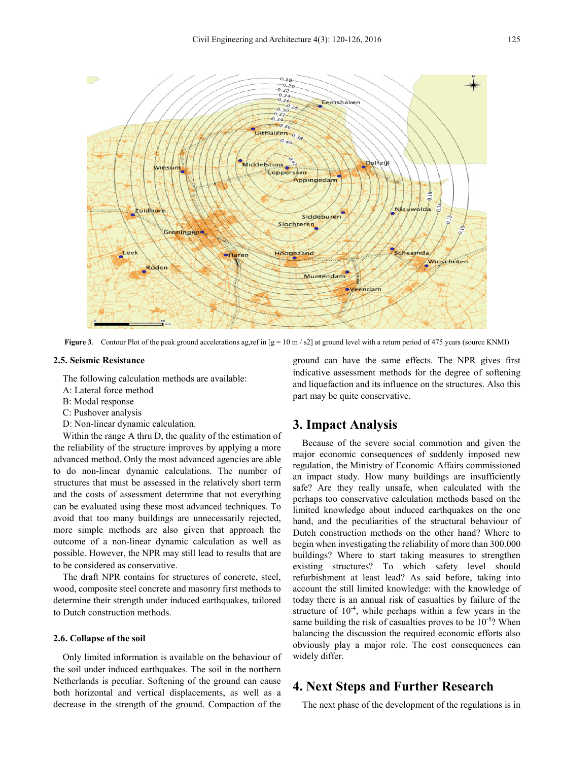

**Figure 3**. Contour Plot of the peak ground accelerations ag,ref in  $[g = 10 \text{ m/s2}]$  at ground level with a return period of 475 years (source KNMI)

## **2.5. Seismic Resistance**

The following calculation methods are available:

- A: Lateral force method
- B: Modal response
- C: Pushover analysis
- D: Non-linear dynamic calculation.

Within the range A thru D, the quality of the estimation of the reliability of the structure improves by applying a more advanced method. Only the most advanced agencies are able to do non-linear dynamic calculations. The number of structures that must be assessed in the relatively short term and the costs of assessment determine that not everything can be evaluated using these most advanced techniques. To avoid that too many buildings are unnecessarily rejected, more simple methods are also given that approach the outcome of a non-linear dynamic calculation as well as possible. However, the NPR may still lead to results that are to be considered as conservative.

The draft NPR contains for structures of concrete, steel, wood, composite steel concrete and masonry first methods to determine their strength under induced earthquakes, tailored to Dutch construction methods.

#### **2.6. Collapse of the soil**

Only limited information is available on the behaviour of the soil under induced earthquakes. The soil in the northern Netherlands is peculiar. Softening of the ground can cause both horizontal and vertical displacements, as well as a decrease in the strength of the ground. Compaction of the

ground can have the same effects. The NPR gives first indicative assessment methods for the degree of softening and liquefaction and its influence on the structures. Also this part may be quite conservative.

## **3. Impact Analysis**

Because of the severe social commotion and given the major economic consequences of suddenly imposed new regulation, the Ministry of Economic Affairs commissioned an impact study. How many buildings are insufficiently safe? Are they really unsafe, when calculated with the perhaps too conservative calculation methods based on the limited knowledge about induced earthquakes on the one hand, and the peculiarities of the structural behaviour of Dutch construction methods on the other hand? Where to begin when investigating the reliability of more than 300.000 buildings? Where to start taking measures to strengthen existing structures? To which safety level should refurbishment at least lead? As said before, taking into account the still limited knowledge: with the knowledge of today there is an annual risk of casualties by failure of the structure of  $10^{-4}$ , while perhaps within a few years in the same building the risk of casualties proves to be  $10^{-5}$ ? When balancing the discussion the required economic efforts also obviously play a major role. The cost consequences can widely differ.

# **4. Next Steps and Further Research**

The next phase of the development of the regulations is in